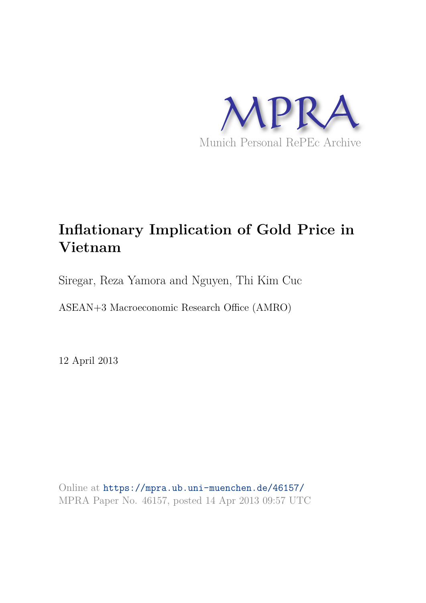

# **Inflationary Implication of Gold Price in Vietnam**

Siregar, Reza Yamora and Nguyen, Thi Kim Cuc

ASEAN+3 Macroeconomic Research Office (AMRO)

12 April 2013

Online at https://mpra.ub.uni-muenchen.de/46157/ MPRA Paper No. 46157, posted 14 Apr 2013 09:57 UTC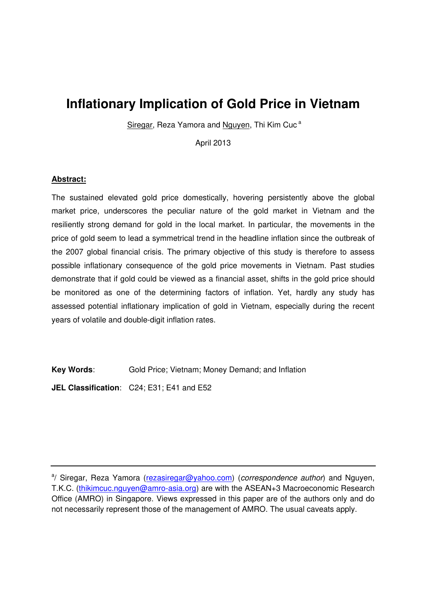## **Inflationary Implication of Gold Price in Vietnam**

Siregar, Reza Yamora and Nguyen, Thi Kim Cuc<sup>a</sup>

April 2013

### **Abstract:**

The sustained elevated gold price domestically, hovering persistently above the global market price, underscores the peculiar nature of the gold market in Vietnam and the resiliently strong demand for gold in the local market. In particular, the movements in the price of gold seem to lead a symmetrical trend in the headline inflation since the outbreak of the 2007 global financial crisis. The primary objective of this study is therefore to assess possible inflationary consequence of the gold price movements in Vietnam. Past studies demonstrate that if gold could be viewed as a financial asset, shifts in the gold price should be monitored as one of the determining factors of inflation. Yet, hardly any study has assessed potential inflationary implication of gold in Vietnam, especially during the recent years of volatile and double-digit inflation rates.

**Key Words**: Gold Price; Vietnam; Money Demand; and Inflation

**JEL Classification**: C24; E31; E41 and E52

<sup>&</sup>lt;sup>a</sup>/ Siregar, Reza Yamora (rezasiregar@yahoo.com) (correspondence author) and Nguyen, T.K.C. (thikimcuc.nguyen@amro-asia.org) are with the ASEAN+3 Macroeconomic Research Office (AMRO) in Singapore. Views expressed in this paper are of the authors only and do not necessarily represent those of the management of AMRO. The usual caveats apply.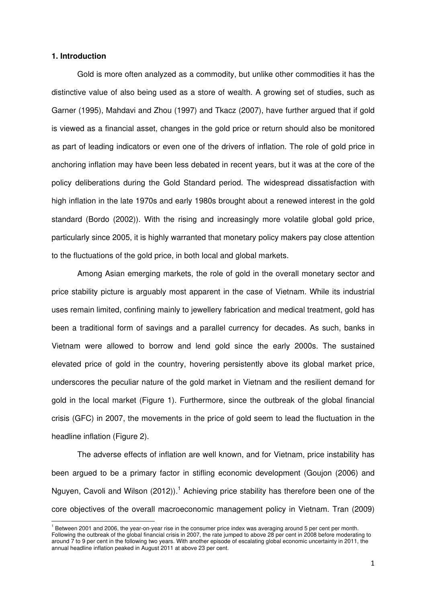#### **1. Introduction**

Gold is more often analyzed as a commodity, but unlike other commodities it has the distinctive value of also being used as a store of wealth. A growing set of studies, such as Garner (1995), Mahdavi and Zhou (1997) and Tkacz (2007), have further argued that if gold is viewed as a financial asset, changes in the gold price or return should also be monitored as part of leading indicators or even one of the drivers of inflation. The role of gold price in anchoring inflation may have been less debated in recent years, but it was at the core of the policy deliberations during the Gold Standard period. The widespread dissatisfaction with high inflation in the late 1970s and early 1980s brought about a renewed interest in the gold standard (Bordo (2002)). With the rising and increasingly more volatile global gold price, particularly since 2005, it is highly warranted that monetary policy makers pay close attention to the fluctuations of the gold price, in both local and global markets.

Among Asian emerging markets, the role of gold in the overall monetary sector and price stability picture is arguably most apparent in the case of Vietnam. While its industrial uses remain limited, confining mainly to jewellery fabrication and medical treatment, gold has been a traditional form of savings and a parallel currency for decades. As such, banks in Vietnam were allowed to borrow and lend gold since the early 2000s. The sustained elevated price of gold in the country, hovering persistently above its global market price, underscores the peculiar nature of the gold market in Vietnam and the resilient demand for gold in the local market (Figure 1). Furthermore, since the outbreak of the global financial crisis (GFC) in 2007, the movements in the price of gold seem to lead the fluctuation in the headline inflation (Figure 2).

The adverse effects of inflation are well known, and for Vietnam, price instability has been argued to be a primary factor in stifling economic development (Goujon (2006) and Nguyen, Cavoli and Wilson (2012)).<sup>1</sup> Achieving price stability has therefore been one of the core objectives of the overall macroeconomic management policy in Vietnam. Tran (2009)

<sup>&</sup>lt;sup>1</sup> Between 2001 and 2006, the year-on-year rise in the consumer price index was averaging around 5 per cent per month. Following the outbreak of the global financial crisis in 2007, the rate jumped to above 28 per cent in 2008 before moderating to around 7 to 9 per cent in the following two years. With another episode of escalating global economic uncertainty in 2011, the annual headline inflation peaked in August 2011 at above 23 per cent.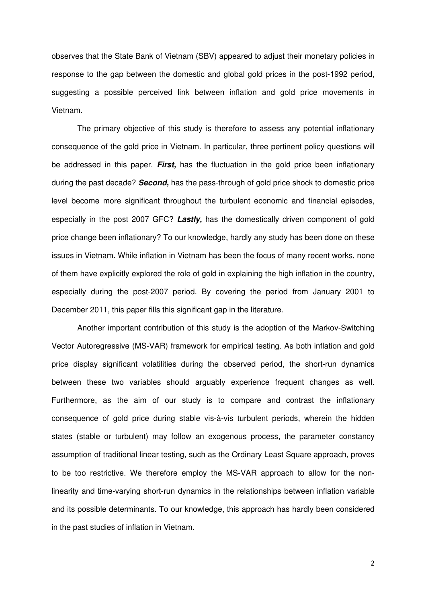observes that the State Bank of Vietnam (SBV) appeared to adjust their monetary policies in response to the gap between the domestic and global gold prices in the post-1992 period, suggesting a possible perceived link between inflation and gold price movements in Vietnam.

The primary objective of this study is therefore to assess any potential inflationary consequence of the gold price in Vietnam. In particular, three pertinent policy questions will be addressed in this paper. **First,** has the fluctuation in the gold price been inflationary during the past decade? **Second,** has the pass-through of gold price shock to domestic price level become more significant throughout the turbulent economic and financial episodes, especially in the post 2007 GFC? **Lastly,** has the domestically driven component of gold price change been inflationary? To our knowledge, hardly any study has been done on these issues in Vietnam. While inflation in Vietnam has been the focus of many recent works, none of them have explicitly explored the role of gold in explaining the high inflation in the country, especially during the post-2007 period. By covering the period from January 2001 to December 2011, this paper fills this significant gap in the literature.

Another important contribution of this study is the adoption of the Markov-Switching Vector Autoregressive (MS-VAR) framework for empirical testing. As both inflation and gold price display significant volatilities during the observed period, the short-run dynamics between these two variables should arguably experience frequent changes as well. Furthermore, as the aim of our study is to compare and contrast the inflationary consequence of gold price during stable vis-à-vis turbulent periods, wherein the hidden states (stable or turbulent) may follow an exogenous process, the parameter constancy assumption of traditional linear testing, such as the Ordinary Least Square approach, proves to be too restrictive. We therefore employ the MS-VAR approach to allow for the nonlinearity and time-varying short-run dynamics in the relationships between inflation variable and its possible determinants. To our knowledge, this approach has hardly been considered in the past studies of inflation in Vietnam.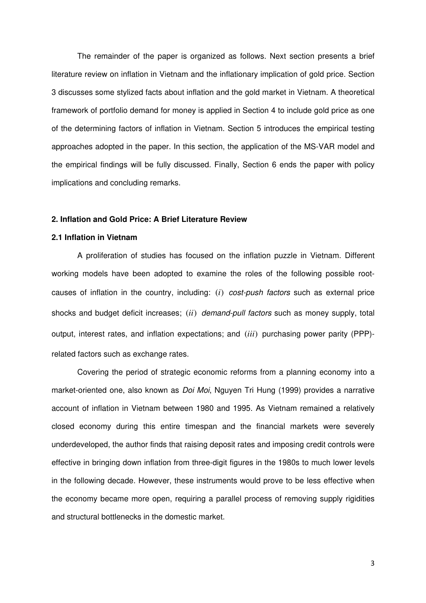The remainder of the paper is organized as follows. Next section presents a brief literature review on inflation in Vietnam and the inflationary implication of gold price. Section 3 discusses some stylized facts about inflation and the gold market in Vietnam. A theoretical framework of portfolio demand for money is applied in Section 4 to include gold price as one of the determining factors of inflation in Vietnam. Section 5 introduces the empirical testing approaches adopted in the paper. In this section, the application of the MS-VAR model and the empirical findings will be fully discussed. Finally, Section 6 ends the paper with policy implications and concluding remarks.

#### **2. Inflation and Gold Price: A Brief Literature Review**

#### **2.1 Inflation in Vietnam**

A proliferation of studies has focused on the inflation puzzle in Vietnam. Different working models have been adopted to examine the roles of the following possible rootcauses of inflation in the country, including: *(i)* cost-push factors such as external price shocks and budget deficit increases; *(ii)* demand-pull factors such as money supply, total output, interest rates, and inflation expectations; and (*iii*) purchasing power parity (PPP) related factors such as exchange rates.

Covering the period of strategic economic reforms from a planning economy into a market-oriented one, also known as Doi Moi, Nguyen Tri Hung (1999) provides a narrative account of inflation in Vietnam between 1980 and 1995. As Vietnam remained a relatively closed economy during this entire timespan and the financial markets were severely underdeveloped, the author finds that raising deposit rates and imposing credit controls were effective in bringing down inflation from three-digit figures in the 1980s to much lower levels in the following decade. However, these instruments would prove to be less effective when the economy became more open, requiring a parallel process of removing supply rigidities and structural bottlenecks in the domestic market.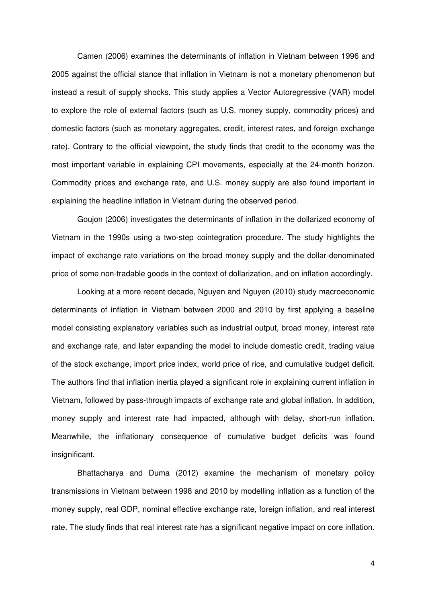Camen (2006) examines the determinants of inflation in Vietnam between 1996 and 2005 against the official stance that inflation in Vietnam is not a monetary phenomenon but instead a result of supply shocks. This study applies a Vector Autoregressive (VAR) model to explore the role of external factors (such as U.S. money supply, commodity prices) and domestic factors (such as monetary aggregates, credit, interest rates, and foreign exchange rate). Contrary to the official viewpoint, the study finds that credit to the economy was the most important variable in explaining CPI movements, especially at the 24-month horizon. Commodity prices and exchange rate, and U.S. money supply are also found important in explaining the headline inflation in Vietnam during the observed period.

Goujon (2006) investigates the determinants of inflation in the dollarized economy of Vietnam in the 1990s using a two-step cointegration procedure. The study highlights the impact of exchange rate variations on the broad money supply and the dollar-denominated price of some non-tradable goods in the context of dollarization, and on inflation accordingly.

Looking at a more recent decade, Nguyen and Nguyen (2010) study macroeconomic determinants of inflation in Vietnam between 2000 and 2010 by first applying a baseline model consisting explanatory variables such as industrial output, broad money, interest rate and exchange rate, and later expanding the model to include domestic credit, trading value of the stock exchange, import price index, world price of rice, and cumulative budget deficit. The authors find that inflation inertia played a significant role in explaining current inflation in Vietnam, followed by pass-through impacts of exchange rate and global inflation. In addition, money supply and interest rate had impacted, although with delay, short-run inflation. Meanwhile, the inflationary consequence of cumulative budget deficits was found insignificant.

Bhattacharya and Duma (2012) examine the mechanism of monetary policy transmissions in Vietnam between 1998 and 2010 by modelling inflation as a function of the money supply, real GDP, nominal effective exchange rate, foreign inflation, and real interest rate. The study finds that real interest rate has a significant negative impact on core inflation.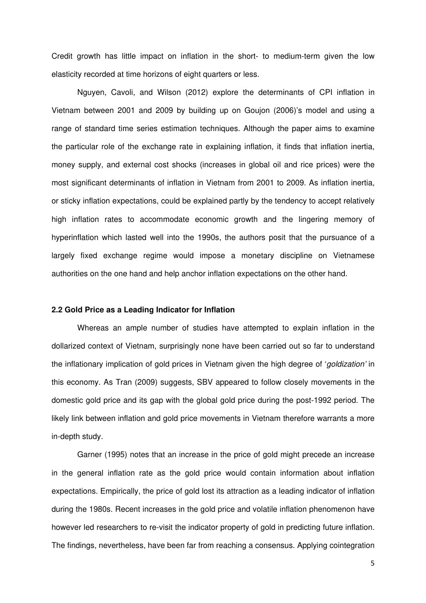Credit growth has little impact on inflation in the short- to medium-term given the low elasticity recorded at time horizons of eight quarters or less.

Nguyen, Cavoli, and Wilson (2012) explore the determinants of CPI inflation in Vietnam between 2001 and 2009 by building up on Goujon (2006)'s model and using a range of standard time series estimation techniques. Although the paper aims to examine the particular role of the exchange rate in explaining inflation, it finds that inflation inertia, money supply, and external cost shocks (increases in global oil and rice prices) were the most significant determinants of inflation in Vietnam from 2001 to 2009. As inflation inertia, or sticky inflation expectations, could be explained partly by the tendency to accept relatively high inflation rates to accommodate economic growth and the lingering memory of hyperinflation which lasted well into the 1990s, the authors posit that the pursuance of a largely fixed exchange regime would impose a monetary discipline on Vietnamese authorities on the one hand and help anchor inflation expectations on the other hand.

#### **2.2 Gold Price as a Leading Indicator for Inflation**

Whereas an ample number of studies have attempted to explain inflation in the dollarized context of Vietnam, surprisingly none have been carried out so far to understand the inflationary implication of gold prices in Vietnam given the high degree of 'goldization' in this economy. As Tran (2009) suggests, SBV appeared to follow closely movements in the domestic gold price and its gap with the global gold price during the post-1992 period. The likely link between inflation and gold price movements in Vietnam therefore warrants a more in-depth study.

Garner (1995) notes that an increase in the price of gold might precede an increase in the general inflation rate as the gold price would contain information about inflation expectations. Empirically, the price of gold lost its attraction as a leading indicator of inflation during the 1980s. Recent increases in the gold price and volatile inflation phenomenon have however led researchers to re-visit the indicator property of gold in predicting future inflation. The findings, nevertheless, have been far from reaching a consensus. Applying cointegration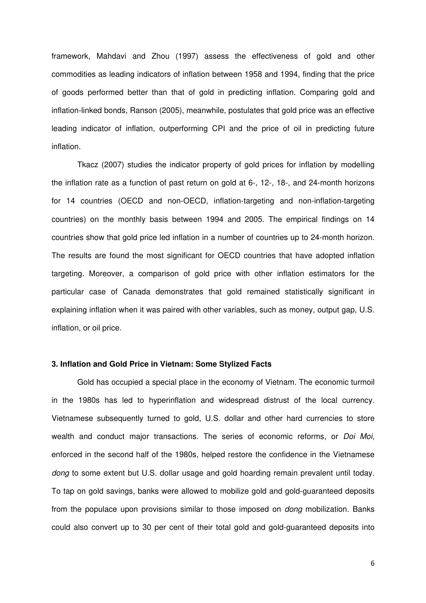framework, Mahdavi and Zhou (1997) assess the effectiveness of gold and other commodities as leading indicators of inflation between 1958 and 1994, finding that the price of goods performed better than that of gold in predicting inflation. Comparing gold and inflation-linked bonds, Ranson (2005), meanwhile, postulates that gold price was an effective leading indicator of inflation, outperforming CPI and the price of oil in predicting future inflation.

Tkacz (2007) studies the indicator property of gold prices for inflation by modelling the inflation rate as a function of past return on gold at 6-, 12-, 18-, and 24-month horizons for 14 countries (OECD and non-OECD, inflation-targeting and non-inflation-targeting countries) on the monthly basis between 1994 and 2005. The empirical findings on 14 countries show that gold price led inflation in a number of countries up to 24-month horizon. The results are found the most significant for OECD countries that have adopted inflation targeting. Moreover, a comparison of gold price with other inflation estimators for the particular case of Canada demonstrates that gold remained statistically significant in explaining inflation when it was paired with other variables, such as money, output gap, U.S. inflation, or oil price.

#### **3. Inflation and Gold Price in Vietnam: Some Stylized Facts**

Gold has occupied a special place in the economy of Vietnam. The economic turmoil in the 1980s has led to hyperinflation and widespread distrust of the local currency. Vietnamese subsequently turned to gold, U.S. dollar and other hard currencies to store wealth and conduct major transactions. The series of economic reforms, or *Doi Moi*, enforced in the second half of the 1980s, helped restore the confidence in the Vietnamese dong to some extent but U.S. dollar usage and gold hoarding remain prevalent until today. To tap on gold savings, banks were allowed to mobilize gold and gold-guaranteed deposits from the populace upon provisions similar to those imposed on dong mobilization. Banks could also convert up to 30 per cent of their total gold and gold-guaranteed deposits into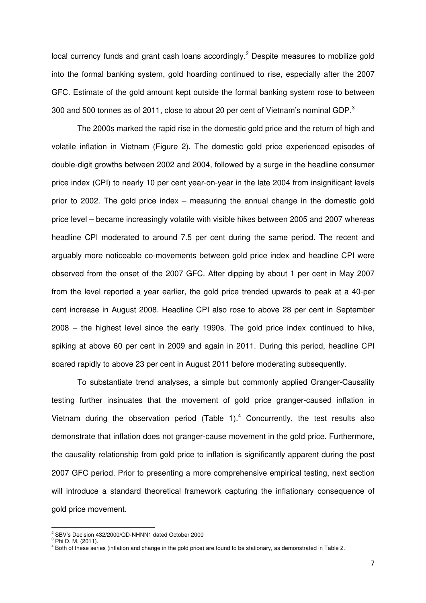local currency funds and grant cash loans accordingly.<sup>2</sup> Despite measures to mobilize gold into the formal banking system, gold hoarding continued to rise, especially after the 2007 GFC. Estimate of the gold amount kept outside the formal banking system rose to between 300 and 500 tonnes as of 2011, close to about 20 per cent of Vietnam's nominal GDP. $^3$ 

 The 2000s marked the rapid rise in the domestic gold price and the return of high and volatile inflation in Vietnam (Figure 2). The domestic gold price experienced episodes of double-digit growths between 2002 and 2004, followed by a surge in the headline consumer price index (CPI) to nearly 10 per cent year-on-year in the late 2004 from insignificant levels prior to 2002. The gold price index – measuring the annual change in the domestic gold price level – became increasingly volatile with visible hikes between 2005 and 2007 whereas headline CPI moderated to around 7.5 per cent during the same period. The recent and arguably more noticeable co-movements between gold price index and headline CPI were observed from the onset of the 2007 GFC. After dipping by about 1 per cent in May 2007 from the level reported a year earlier, the gold price trended upwards to peak at a 40-per cent increase in August 2008. Headline CPI also rose to above 28 per cent in September 2008 – the highest level since the early 1990s. The gold price index continued to hike, spiking at above 60 per cent in 2009 and again in 2011. During this period, headline CPI soared rapidly to above 23 per cent in August 2011 before moderating subsequently.

To substantiate trend analyses, a simple but commonly applied Granger-Causality testing further insinuates that the movement of gold price granger-caused inflation in Vietnam during the observation period  $(Table 1).<sup>4</sup>$  Concurrently, the test results also demonstrate that inflation does not granger-cause movement in the gold price. Furthermore, the causality relationship from gold price to inflation is significantly apparent during the post 2007 GFC period. Prior to presenting a more comprehensive empirical testing, next section will introduce a standard theoretical framework capturing the inflationary consequence of gold price movement.

<sup>&</sup>lt;sup>2</sup> SBV's Decision 432/2000/QD-NHNN1 dated October 2000

<sup>&</sup>lt;sup>3</sup> Phi D. M. (2011<u>)</u>.

<sup>4</sup> Both of these series (inflation and change in the gold price) are found to be stationary, as demonstrated in Table 2.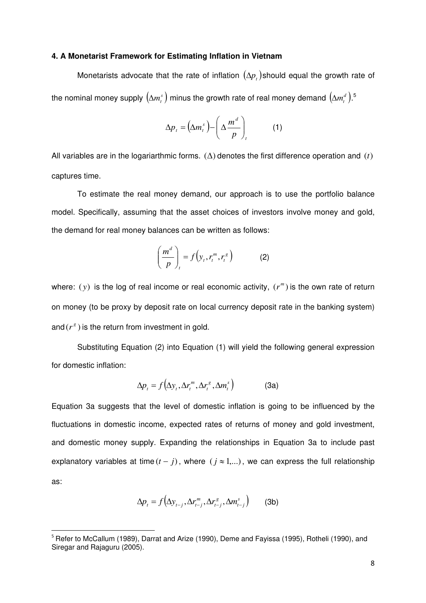#### **4. A Monetarist Framework for Estimating Inflation in Vietnam**

Monetarists advocate that the rate of inflation  $(\Delta p_i)$ should equal the growth rate of the nominal money supply  $\left(\Delta m_{_t}^{s}\right)$  minus the growth rate of real money demand  $\left(\Delta m_{_t}^{d}\right){}^5$ 

$$
\Delta p_t = \left(\Delta m_t^s\right) - \left(\Delta \frac{m^d}{p}\right)_t \tag{1}
$$

All variables are in the logariarthmic forms.  $(\Delta)$  denotes the first difference operation and *(t)* captures time.

To estimate the real money demand, our approach is to use the portfolio balance model. Specifically, assuming that the asset choices of investors involve money and gold, the demand for real money balances can be written as follows:

$$
\left(\frac{m^d}{p}\right)_t = f\left(y_t, r_t^m, r_t^s\right) \tag{2}
$$

where:  $(y)$  is the log of real income or real economic activity,  $(r^m)$  is the own rate of return on money (to be proxy by deposit rate on local currency deposit rate in the banking system) and  $(r^s)$  is the return from investment in gold.

Substituting Equation (2) into Equation (1) will yield the following general expression for domestic inflation:

$$
\Delta p_t = f(\Delta y_t, \Delta r_t^m, \Delta r_t^s, \Delta m_t^s)
$$
 (3a)

Equation 3a suggests that the level of domestic inflation is going to be influenced by the fluctuations in domestic income, expected rates of returns of money and gold investment, and domestic money supply. Expanding the relationships in Equation 3a to include past explanatory variables at time  $(t - j)$ , where  $(j \approx 1,...)$ , we can express the full relationship as:

$$
\Delta p_t = f\left(\Delta y_{t-j}, \Delta r^m_{t-j}, \Delta r^s_{t-j}, \Delta m^s_{t-j}\right) \tag{3b}
$$

<sup>&</sup>lt;sup>5</sup> Refer to McCallum (1989), Darrat and Arize (1990), Deme and Fayissa (1995), Rotheli (1990), and Siregar and Rajaguru (2005).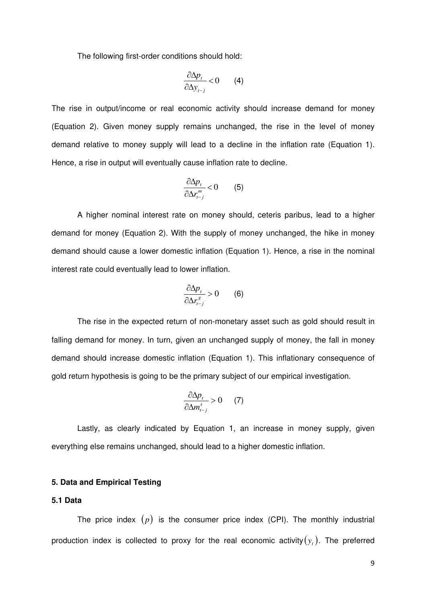The following first-order conditions should hold:

$$
\frac{\partial \Delta p_t}{\partial \Delta y_{t-j}} < 0 \qquad (4)
$$

The rise in output/income or real economic activity should increase demand for money (Equation 2). Given money supply remains unchanged, the rise in the level of money demand relative to money supply will lead to a decline in the inflation rate (Equation 1). Hence, a rise in output will eventually cause inflation rate to decline.

$$
\frac{\partial \Delta p_t}{\partial \Delta r_{t-j}^m} < 0 \tag{5}
$$

 A higher nominal interest rate on money should, ceteris paribus, lead to a higher demand for money (Equation 2). With the supply of money unchanged, the hike in money demand should cause a lower domestic inflation (Equation 1). Hence, a rise in the nominal interest rate could eventually lead to lower inflation.

$$
\frac{\partial \Delta p_t}{\partial \Delta r_{t-j}^s} > 0 \qquad (6)
$$

 The rise in the expected return of non-monetary asset such as gold should result in falling demand for money. In turn, given an unchanged supply of money, the fall in money demand should increase domestic inflation (Equation 1). This inflationary consequence of gold return hypothesis is going to be the primary subject of our empirical investigation.

$$
\frac{\partial \Delta p_t}{\partial \Delta m_{t-j}^s} > 0 \qquad (7)
$$

Lastly, as clearly indicated by Equation 1, an increase in money supply, given everything else remains unchanged, should lead to a higher domestic inflation.

#### **5. Data and Empirical Testing**

#### **5.1 Data**

The price index  $(p)$  is the consumer price index (CPI). The monthly industrial production index is collected to proxy for the real economic activity $(y_{_t})$ . The preferred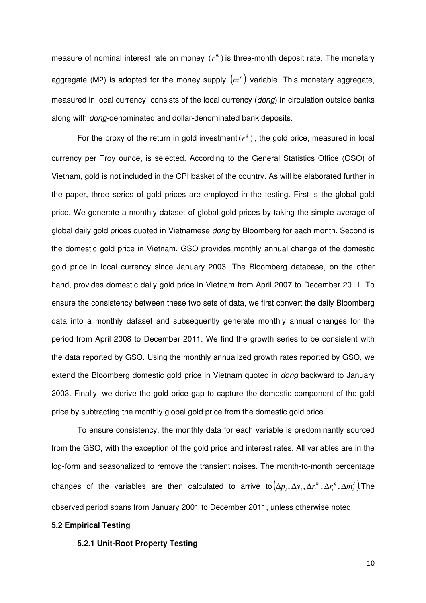measure of nominal interest rate on money  $(r^m)$  is three-month deposit rate. The monetary aggregate (M2) is adopted for the money supply  $(m<sup>s</sup>)$  variable. This monetary aggregate, measured in local currency, consists of the local currency (*dong*) in circulation outside banks along with dong-denominated and dollar-denominated bank deposits.

For the proxy of the return in gold investment  $(r^s)$ , the gold price, measured in local currency per Troy ounce, is selected. According to the General Statistics Office (GSO) of Vietnam, gold is not included in the CPI basket of the country. As will be elaborated further in the paper, three series of gold prices are employed in the testing. First is the global gold price. We generate a monthly dataset of global gold prices by taking the simple average of global daily gold prices quoted in Vietnamese dong by Bloomberg for each month. Second is the domestic gold price in Vietnam. GSO provides monthly annual change of the domestic gold price in local currency since January 2003. The Bloomberg database, on the other hand, provides domestic daily gold price in Vietnam from April 2007 to December 2011. To ensure the consistency between these two sets of data, we first convert the daily Bloomberg data into a monthly dataset and subsequently generate monthly annual changes for the period from April 2008 to December 2011. We find the growth series to be consistent with the data reported by GSO. Using the monthly annualized growth rates reported by GSO, we extend the Bloomberg domestic gold price in Vietnam quoted in *dong* backward to January 2003. Finally, we derive the gold price gap to capture the domestic component of the gold price by subtracting the monthly global gold price from the domestic gold price.

 To ensure consistency, the monthly data for each variable is predominantly sourced from the GSO, with the exception of the gold price and interest rates. All variables are in the log-form and seasonalized to remove the transient noises. The month-to-month percentage changes of the variables are then calculated to arrive to $(\Delta p_t, \Delta y_t, \Delta r_t^m, \Delta r_t^s, \Delta m_t^s)$ *t g*  $\Delta p_{_{t}},\Delta y_{_{t}},\Delta r_{_{t}}^{m},\Delta r_{_{t}}^{s},\Delta m_{_{t}}^{s}\big)\textsf{The}^{2}$ observed period spans from January 2001 to December 2011, unless otherwise noted.

#### **5.2 Empirical Testing**

#### **5.2.1 Unit-Root Property Testing**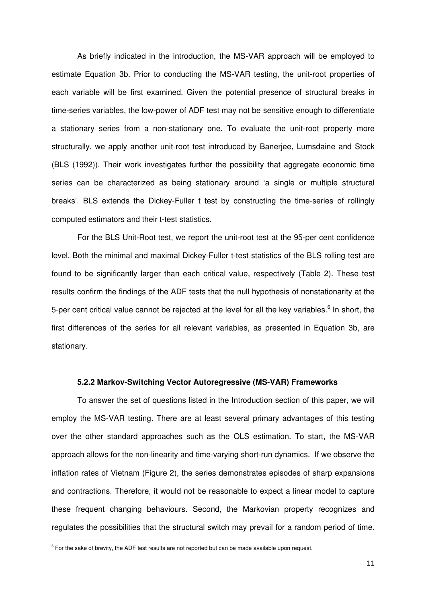As briefly indicated in the introduction, the MS-VAR approach will be employed to estimate Equation 3b. Prior to conducting the MS-VAR testing, the unit-root properties of each variable will be first examined. Given the potential presence of structural breaks in time-series variables, the low-power of ADF test may not be sensitive enough to differentiate a stationary series from a non-stationary one. To evaluate the unit-root property more structurally, we apply another unit-root test introduced by Banerjee, Lumsdaine and Stock (BLS (1992)). Their work investigates further the possibility that aggregate economic time series can be characterized as being stationary around 'a single or multiple structural breaks'. BLS extends the Dickey-Fuller t test by constructing the time-series of rollingly computed estimators and their t-test statistics.

For the BLS Unit-Root test, we report the unit-root test at the 95-per cent confidence level. Both the minimal and maximal Dickey-Fuller t-test statistics of the BLS rolling test are found to be significantly larger than each critical value, respectively (Table 2). These test results confirm the findings of the ADF tests that the null hypothesis of nonstationarity at the 5-per cent critical value cannot be rejected at the level for all the key variables.<sup>6</sup> In short, the first differences of the series for all relevant variables, as presented in Equation 3b, are stationary.

#### **5.2.2 Markov-Switching Vector Autoregressive (MS-VAR) Frameworks**

To answer the set of questions listed in the Introduction section of this paper, we will employ the MS-VAR testing. There are at least several primary advantages of this testing over the other standard approaches such as the OLS estimation. To start, the MS-VAR approach allows for the non-linearity and time-varying short-run dynamics. If we observe the inflation rates of Vietnam (Figure 2), the series demonstrates episodes of sharp expansions and contractions. Therefore, it would not be reasonable to expect a linear model to capture these frequent changing behaviours. Second, the Markovian property recognizes and regulates the possibilities that the structural switch may prevail for a random period of time.

<sup>&</sup>lt;sup>6</sup> For the sake of brevity, the ADF test results are not reported but can be made available upon request.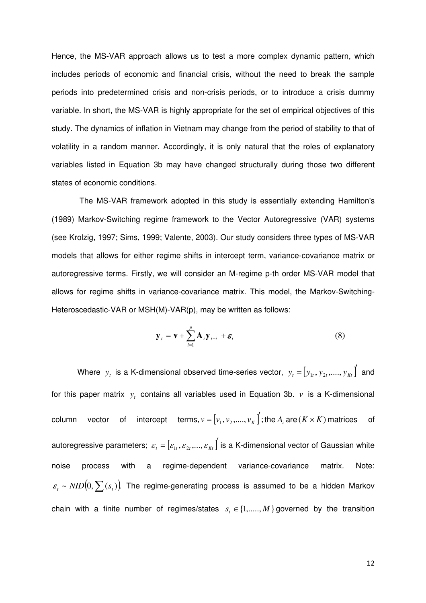Hence, the MS-VAR approach allows us to test a more complex dynamic pattern, which includes periods of economic and financial crisis, without the need to break the sample periods into predetermined crisis and non-crisis periods, or to introduce a crisis dummy variable. In short, the MS-VAR is highly appropriate for the set of empirical objectives of this study. The dynamics of inflation in Vietnam may change from the period of stability to that of volatility in a random manner. Accordingly, it is only natural that the roles of explanatory variables listed in Equation 3b may have changed structurally during those two different states of economic conditions.

 The MS-VAR framework adopted in this study is essentially extending Hamilton's (1989) Markov-Switching regime framework to the Vector Autoregressive (VAR) systems (see Krolzig, 1997; Sims, 1999; Valente, 2003). Our study considers three types of MS-VAR models that allows for either regime shifts in intercept term, variance-covariance matrix or autoregressive terms. Firstly, we will consider an M-regime p-th order MS-VAR model that allows for regime shifts in variance-covariance matrix. This model, the Markov-Switching-Heteroscedastic-VAR or MSH(M)-VAR(p), may be written as follows:

$$
\mathbf{y}_{t} = \mathbf{v} + \sum_{i=1}^{p} \mathbf{A}_{i} \mathbf{y}_{t-i} + \boldsymbol{\varepsilon}_{t}
$$
(8)

Where  $y_t$  is a K-dimensional observed time-series vector,  $y_t = [y_{1t}, y_{2t}, \dots, y_{Kt}]$  and for this paper matrix  $y_t$  contains all variables used in Equation 3b.  $v$  is a K-dimensional column vector of intercept terms, $v = [v_1, v_2, ..., v_K]$ ;  $V = [V_1, V_2, \dots, V_K]$ ; the  $A_i$  are ( $K \times K$ ) matrices of autoregressive parameters;  $\mathbf{\varepsilon}_{_t}$  =  $\left[\mathbf{\varepsilon}_{_{1t}}, \mathbf{\varepsilon}_{_{2t}},...,\mathbf{\varepsilon}_{_{K_t}}\right]'$  is a K-dimensional vector of Gaussian white noise process with a regime-dependent variance-covariance matrix. Note:  $\varepsilon_t \thicksim NID\big(0, \sum(s_t)\big)$  The regime-generating process is assumed to be a hidden Markov chain with a finite number of regimes/states  $s_t \in \{1, \ldots, M\}$  governed by the transition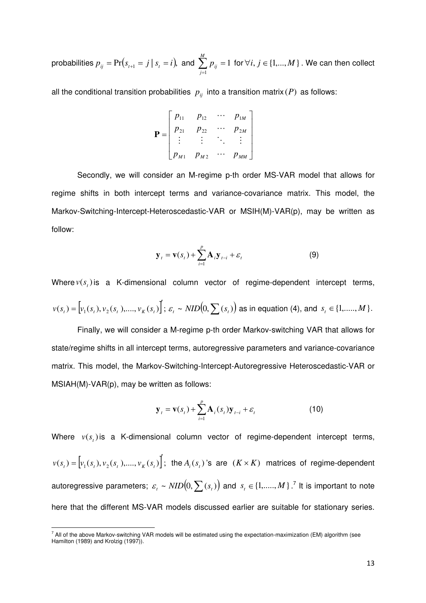probabilities  $p_{ij} = \Pr \bigl( s_{_{t+1}} = j \,|\: s_{_t} = i \bigr),$  and  $\sum\limits^m p_{ij} = 1$  $\sum_{j=1} p_{ij} =$ *M j*  $p_{ij} = 1$  for  $\forall i, j \in \{1,...,M\}$  . We can then collect

all the conditional transition probabilities  $p_{ij}$  into a transition matrix ( $P$ ) as follows:

$$
\mathbf{P} = \begin{bmatrix} p_{11} & p_{12} & \cdots & p_{1M} \\ p_{21} & p_{22} & \cdots & p_{2M} \\ \vdots & \vdots & \ddots & \vdots \\ p_{M1} & p_{M2} & \cdots & p_{MM} \end{bmatrix}
$$

Secondly, we will consider an M-regime p-th order MS-VAR model that allows for regime shifts in both intercept terms and variance-covariance matrix. This model, the Markov-Switching-Intercept-Heteroscedastic-VAR or MSIH(M)-VAR(p), may be written as follow:

$$
\mathbf{y}_{t} = \mathbf{v}(s_{t}) + \sum_{i=1}^{p} \mathbf{A}_{i} \mathbf{y}_{t-i} + \varepsilon_{t}
$$
(9)

Where  $v(s_t)$  is a K-dimensional column vector of regime-dependent intercept terms,

$$
v(s_t) = \left[v_1(s_t), v_2(s_t), \dots, v_K(s_t)\right]; \ \mathcal{E}_t \sim \text{NID}\big(0, \sum(s_t)\big) \text{ as in equation (4), and } s_t \in \{1, \dots, M\}.
$$

Finally, we will consider a M-regime p-th order Markov-switching VAR that allows for state/regime shifts in all intercept terms, autoregressive parameters and variance-covariance matrix. This model, the Markov-Switching-Intercept-Autoregressive Heteroscedastic-VAR or MSIAH(M)-VAR(p), may be written as follows:

$$
\mathbf{y}_{t} = \mathbf{v}(s_{t}) + \sum_{i=1}^{p} \mathbf{A}_{i}(s_{t}) \mathbf{y}_{t-i} + \varepsilon_{t}
$$
(10)

Where  $v(s<sub>t</sub>)$  is a K-dimensional column vector of regime-dependent intercept terms,  $v(s_t) = [v_1(s_t), v_2(s_t), ..., v_K(s_t)]$ ; the  $A_i(s_t)$ 's are  $(K \times K)$  matrices of regime-dependent autoregressive parameters;  $\varepsilon_i \thicksim NID\bigl(0, \sum(s_i)\bigr)$  and  $\vert s_i \in \{1,....,M\}\vert$   $^7$  It is important to note here that the different MS-VAR models discussed earlier are suitable for stationary series.

 7 All of the above Markov-switching VAR models will be estimated using the expectation-maximization (EM) algorithm (see Hamilton (1989) and Krolzig (1997)).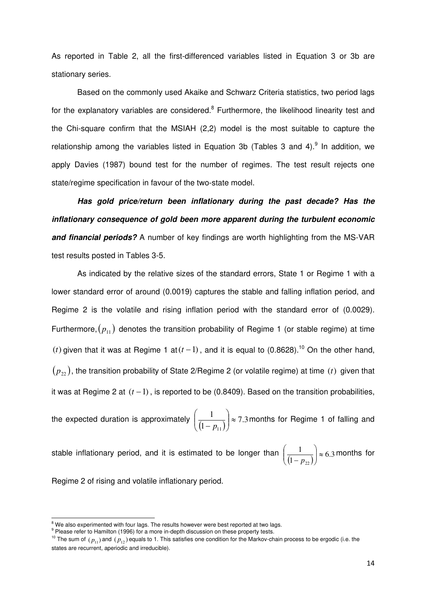As reported in Table 2, all the first-differenced variables listed in Equation 3 or 3b are stationary series.

 Based on the commonly used Akaike and Schwarz Criteria statistics, two period lags for the explanatory variables are considered.<sup>8</sup> Furthermore, the likelihood linearity test and the Chi-square confirm that the MSIAH (2,2) model is the most suitable to capture the relationship among the variables listed in Equation 3b (Tables 3 and 4). $9$  In addition, we apply Davies (1987) bound test for the number of regimes. The test result rejects one state/regime specification in favour of the two-state model.

 **Has gold price/return been inflationary during the past decade? Has the inflationary consequence of gold been more apparent during the turbulent economic and financial periods?** A number of key findings are worth highlighting from the MS-VAR test results posted in Tables 3-5.

As indicated by the relative sizes of the standard errors, State 1 or Regime 1 with a lower standard error of around (0.0019) captures the stable and falling inflation period, and Regime 2 is the volatile and rising inflation period with the standard error of (0.0029). Furthermore,  $(p_{11})$  denotes the transition probability of Regime 1 (or stable regime) at time (*t*) given that it was at Regime 1 at( $t - 1$ ), and it is equal to (0.8628).<sup>10</sup> On the other hand,  $(p_{22})$ , the transition probability of State 2/Regime 2 (or volatile regime) at time *(t)* given that it was at Regime 2 at  $(t-1)$ , is reported to be (0.8409). Based on the transition probabilities,

the expected duration is approximately  $\left(\frac{1}{(1-p_{11})}\right) \approx 7.3$ 1  $\overline{111})^*$ J  $\backslash$  $\overline{\phantom{a}}$  $\setminus$ ſ *p* months for Regime 1 of falling and

stable inflationary period, and it is estimated to be longer than  $\left(\frac{1}{(1-p_{22})}\right) \approx 6.3$ 1  $\overline{22}\bigg)$   $\approx$ J  $\setminus$  $\overline{\phantom{a}}$  $\backslash$ ſ *p* months for

Regime 2 of rising and volatile inflationary period.

 $8$  We also experimented with four lags. The results however were best reported at two lags.

<sup>&</sup>lt;sup>9</sup> Please refer to Hamilton (1996) for a more in-depth discussion on these property tests.

<sup>&</sup>lt;sup>10</sup> The sum of  $(p_{11})$  and  $(p_{12})$  equals to 1. This satisfies one condition for the Markov-chain process to be ergodic (i.e. the states are recurrent, aperiodic and irreducible).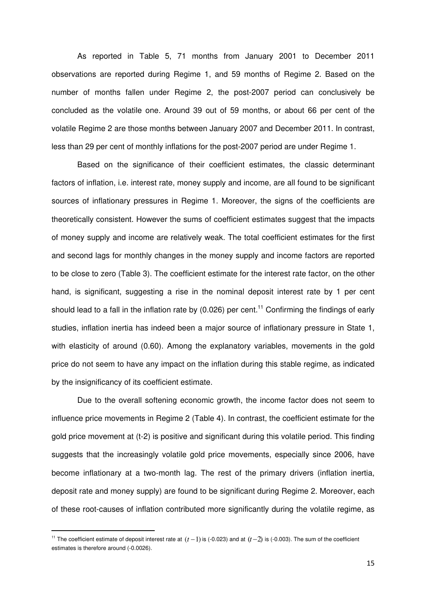As reported in Table 5, 71 months from January 2001 to December 2011 observations are reported during Regime 1, and 59 months of Regime 2. Based on the number of months fallen under Regime 2, the post-2007 period can conclusively be concluded as the volatile one. Around 39 out of 59 months, or about 66 per cent of the volatile Regime 2 are those months between January 2007 and December 2011. In contrast, less than 29 per cent of monthly inflations for the post-2007 period are under Regime 1.

Based on the significance of their coefficient estimates, the classic determinant factors of inflation, i.e. interest rate, money supply and income, are all found to be significant sources of inflationary pressures in Regime 1. Moreover, the signs of the coefficients are theoretically consistent. However the sums of coefficient estimates suggest that the impacts of money supply and income are relatively weak. The total coefficient estimates for the first and second lags for monthly changes in the money supply and income factors are reported to be close to zero (Table 3). The coefficient estimate for the interest rate factor, on the other hand, is significant, suggesting a rise in the nominal deposit interest rate by 1 per cent should lead to a fall in the inflation rate by (0.026) per cent.<sup>11</sup> Confirming the findings of early studies, inflation inertia has indeed been a major source of inflationary pressure in State 1, with elasticity of around (0.60). Among the explanatory variables, movements in the gold price do not seem to have any impact on the inflation during this stable regime, as indicated by the insignificancy of its coefficient estimate.

Due to the overall softening economic growth, the income factor does not seem to influence price movements in Regime 2 (Table 4). In contrast, the coefficient estimate for the gold price movement at (t-2) is positive and significant during this volatile period. This finding suggests that the increasingly volatile gold price movements, especially since 2006, have become inflationary at a two-month lag. The rest of the primary drivers (inflation inertia, deposit rate and money supply) are found to be significant during Regime 2. Moreover, each of these root-causes of inflation contributed more significantly during the volatile regime, as

<sup>&</sup>lt;sup>11</sup> The coefficient estimate of deposit interest rate at  $(t-1)$  is (-0.023) and at  $(t-2)$  is (-0.003). The sum of the coefficient estimates is therefore around (-0.0026).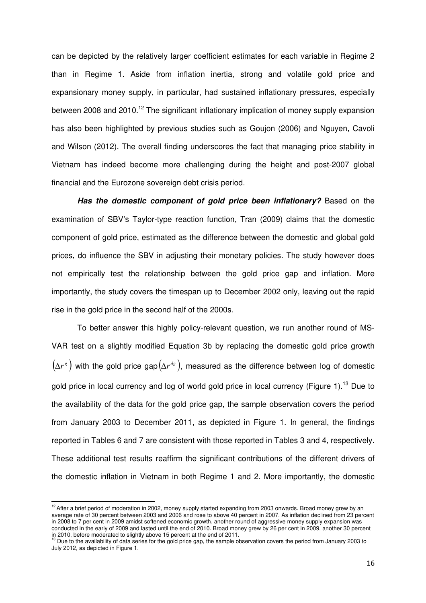can be depicted by the relatively larger coefficient estimates for each variable in Regime 2 than in Regime 1. Aside from inflation inertia, strong and volatile gold price and expansionary money supply, in particular, had sustained inflationary pressures, especially between 2008 and 2010.<sup>12</sup> The significant inflationary implication of money supply expansion has also been highlighted by previous studies such as Goujon (2006) and Nguyen, Cavoli and Wilson (2012). The overall finding underscores the fact that managing price stability in Vietnam has indeed become more challenging during the height and post-2007 global financial and the Eurozone sovereign debt crisis period.

**Has the domestic component of gold price been inflationary?** Based on the examination of SBV's Taylor-type reaction function, Tran (2009) claims that the domestic component of gold price, estimated as the difference between the domestic and global gold prices, do influence the SBV in adjusting their monetary policies. The study however does not empirically test the relationship between the gold price gap and inflation. More importantly, the study covers the timespan up to December 2002 only, leaving out the rapid rise in the gold price in the second half of the 2000s.

To better answer this highly policy-relevant question, we run another round of MS-VAR test on a slightly modified Equation 3b by replacing the domestic gold price growth  $(\Delta r^s$  ) with the gold price gap $(\Delta r^{d_g})$ , measured as the difference between log of domestic gold price in local currency and log of world gold price in local currency (Figure 1).<sup>13</sup> Due to the availability of the data for the gold price gap, the sample observation covers the period from January 2003 to December 2011, as depicted in Figure 1. In general, the findings reported in Tables 6 and 7 are consistent with those reported in Tables 3 and 4, respectively. These additional test results reaffirm the significant contributions of the different drivers of the domestic inflation in Vietnam in both Regime 1 and 2. More importantly, the domestic

 $12$ After a brief period of moderation in 2002, money supply started expanding from 2003 onwards. Broad money grew by an average rate of 30 percent between 2003 and 2006 and rose to above 40 percent in 2007. As inflation declined from 23 percent in 2008 to 7 per cent in 2009 amidst softened economic growth, another round of aggressive money supply expansion was conducted in the early of 2009 and lasted until the end of 2010. Broad money grew by 26 per cent in 2009, another 30 percent

in 2010, before moderated to slightly above 15 percent at the end of 2011.<br><sup>13</sup> Due to the availability of data series for the gold price gap, the sample observation covers the period from January 2003 to July 2012, as depicted in Figure 1.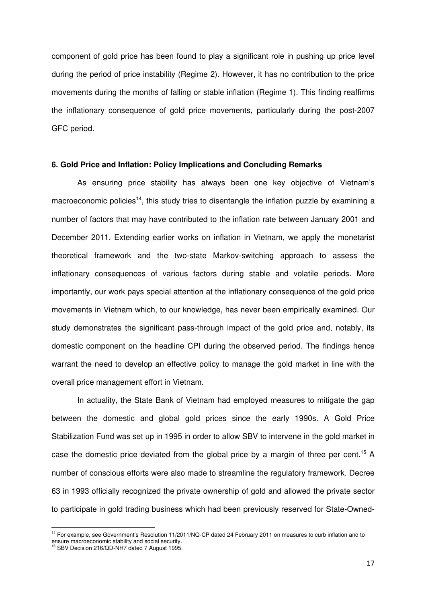component of gold price has been found to play a significant role in pushing up price level during the period of price instability (Regime 2). However, it has no contribution to the price movements during the months of falling or stable inflation (Regime 1). This finding reaffirms the inflationary consequence of gold price movements, particularly during the post-2007 GFC period.

#### **6. Gold Price and Inflation: Policy Implications and Concluding Remarks**

As ensuring price stability has always been one key objective of Vietnam's macroeconomic policies<sup>14</sup>, this study tries to disentangle the inflation puzzle by examining a number of factors that may have contributed to the inflation rate between January 2001 and December 2011. Extending earlier works on inflation in Vietnam, we apply the monetarist theoretical framework and the two-state Markov-switching approach to assess the inflationary consequences of various factors during stable and volatile periods. More importantly, our work pays special attention at the inflationary consequence of the gold price movements in Vietnam which, to our knowledge, has never been empirically examined. Our study demonstrates the significant pass-through impact of the gold price and, notably, its domestic component on the headline CPI during the observed period. The findings hence warrant the need to develop an effective policy to manage the gold market in line with the overall price management effort in Vietnam.

In actuality, the State Bank of Vietnam had employed measures to mitigate the gap between the domestic and global gold prices since the early 1990s. A Gold Price Stabilization Fund was set up in 1995 in order to allow SBV to intervene in the gold market in case the domestic price deviated from the global price by a margin of three per cent.<sup>15</sup> A number of conscious efforts were also made to streamline the regulatory framework. Decree 63 in 1993 officially recognized the private ownership of gold and allowed the private sector to participate in gold trading business which had been previously reserved for State-Owned-

<sup>&</sup>lt;sup>14</sup> For example, see Government's Resolution 11/2011/NQ-CP dated 24 February 2011 on measures to curb inflation and to ensure macroeconomic stability and social security. <sup>15</sup> SBV Decision 216/QD-NH7 dated 7 August 1995.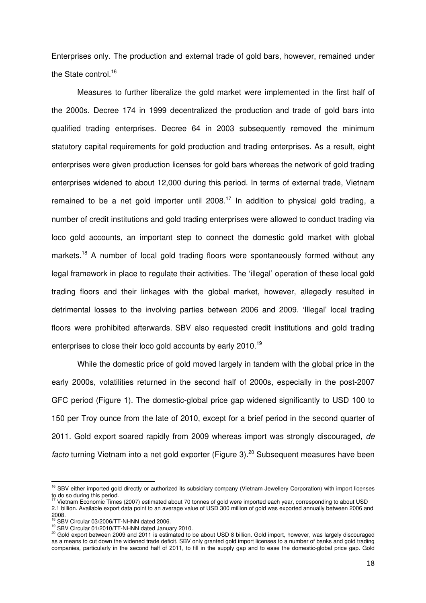Enterprises only. The production and external trade of gold bars, however, remained under the State control.<sup>16</sup>

Measures to further liberalize the gold market were implemented in the first half of the 2000s. Decree 174 in 1999 decentralized the production and trade of gold bars into qualified trading enterprises. Decree 64 in 2003 subsequently removed the minimum statutory capital requirements for gold production and trading enterprises. As a result, eight enterprises were given production licenses for gold bars whereas the network of gold trading enterprises widened to about 12,000 during this period. In terms of external trade, Vietnam remained to be a net gold importer until  $2008<sup>17</sup>$  In addition to physical gold trading, a number of credit institutions and gold trading enterprises were allowed to conduct trading via loco gold accounts, an important step to connect the domestic gold market with global markets.<sup>18</sup> A number of local gold trading floors were spontaneously formed without any legal framework in place to regulate their activities. The 'illegal' operation of these local gold trading floors and their linkages with the global market, however, allegedly resulted in detrimental losses to the involving parties between 2006 and 2009. 'Illegal' local trading floors were prohibited afterwards. SBV also requested credit institutions and gold trading enterprises to close their loco gold accounts by early 2010.<sup>19</sup>

While the domestic price of gold moved largely in tandem with the global price in the early 2000s, volatilities returned in the second half of 2000s, especially in the post-2007 GFC period (Figure 1). The domestic-global price gap widened significantly to USD 100 to 150 per Troy ounce from the late of 2010, except for a brief period in the second quarter of 2011. Gold export soared rapidly from 2009 whereas import was strongly discouraged, de facto turning Vietnam into a net gold exporter (Figure 3).<sup>20</sup> Subsequent measures have been

<sup>&</sup>lt;sup>16</sup> SBV either imported gold directly or authorized its subsidiary company (Vietnam Jewellery Corporation) with import licenses to do so during this period.

<sup>17</sup> Vietnam Economic Times (2007) estimated about 70 tonnes of gold were imported each year, corresponding to about USD 2.1 billion. Available export data point to an average value of USD 300 million of gold was exported annually between 2006 and 2008.

<sup>&</sup>lt;sup>18</sup> SBV Circular 03/2006/TT-NHNN dated 2006.

<sup>19</sup> SBV Circular 01/2010/TT-NHNN dated January 2010.

<sup>&</sup>lt;sup>20</sup> Gold export between 2009 and 2011 is estimated to be about USD 8 billion. Gold import, however, was largely discouraged as a means to cut down the widened trade deficit. SBV only granted gold import licenses to a number of banks and gold trading companies, particularly in the second half of 2011, to fill in the supply gap and to ease the domestic-global price gap. Gold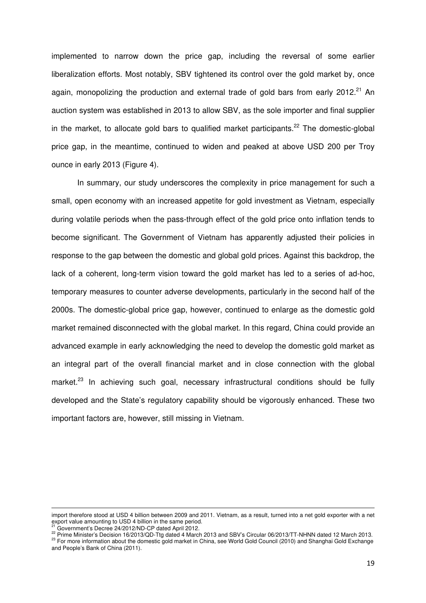implemented to narrow down the price gap, including the reversal of some earlier liberalization efforts. Most notably, SBV tightened its control over the gold market by, once again, monopolizing the production and external trade of gold bars from early 2012.<sup>21</sup> An auction system was established in 2013 to allow SBV, as the sole importer and final supplier in the market, to allocate gold bars to qualified market participants.<sup>22</sup> The domestic-global price gap, in the meantime, continued to widen and peaked at above USD 200 per Troy ounce in early 2013 (Figure 4).

In summary, our study underscores the complexity in price management for such a small, open economy with an increased appetite for gold investment as Vietnam, especially during volatile periods when the pass-through effect of the gold price onto inflation tends to become significant. The Government of Vietnam has apparently adjusted their policies in response to the gap between the domestic and global gold prices. Against this backdrop, the lack of a coherent, long-term vision toward the gold market has led to a series of ad-hoc, temporary measures to counter adverse developments, particularly in the second half of the 2000s. The domestic-global price gap, however, continued to enlarge as the domestic gold market remained disconnected with the global market. In this regard, China could provide an advanced example in early acknowledging the need to develop the domestic gold market as an integral part of the overall financial market and in close connection with the global market.<sup>23</sup> In achieving such goal, necessary infrastructural conditions should be fully developed and the State's regulatory capability should be vigorously enhanced. These two important factors are, however, still missing in Vietnam.

Government's Decree 24/2012/ND-CP dated April 2012.

<sup>&</sup>lt;u> 1989 - Johann Stoff, amerikansk politiker (d. 1989)</u> import therefore stood at USD 4 billion between 2009 and 2011. Vietnam, as a result, turned into a net gold exporter with a net export value amounting to USD 4 billion in the same period.

<sup>22</sup> Prime Minister's Decision 16/2013/QD-Ttg dated 4 March 2013 and SBV's Circular 06/2013/TT-NHNN dated 12 March 2013.

<sup>&</sup>lt;sup>23</sup> For more information about the domestic gold market in China, see World Gold Council (2010) and Shanghai Gold Exchange and People's Bank of China (2011).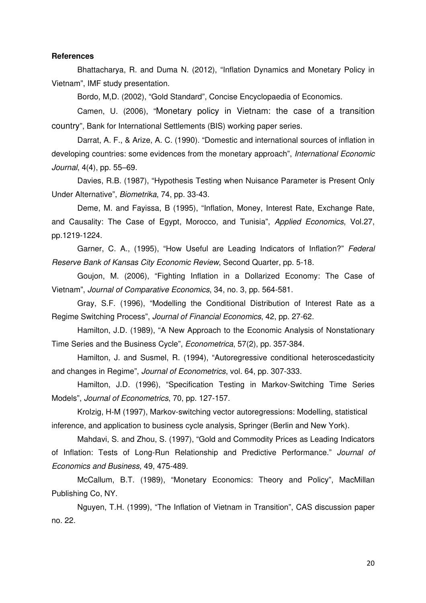#### **References**

Bhattacharya, R. and Duma N. (2012), "Inflation Dynamics and Monetary Policy in Vietnam", IMF study presentation.

Bordo, M,D. (2002), "Gold Standard", Concise Encyclopaedia of Economics.

Camen, U. (2006), "Monetary policy in Vietnam: the case of a transition country", Bank for International Settlements (BIS) working paper series.

Darrat, A. F., & Arize, A. C. (1990). "Domestic and international sources of inflation in developing countries: some evidences from the monetary approach", International Economic Journal, 4(4), pp. 55–69.

Davies, R.B. (1987), "Hypothesis Testing when Nuisance Parameter is Present Only Under Alternative", Biometrika, 74, pp. 33-43.

Deme, M. and Fayissa, B (1995), "Inflation, Money, Interest Rate, Exchange Rate, and Causality: The Case of Egypt, Morocco, and Tunisia", Applied Economics, Vol.27, pp.1219-1224.

Garner, C. A., (1995), "How Useful are Leading Indicators of Inflation?" Federal Reserve Bank of Kansas City Economic Review, Second Quarter, pp. 5-18.

Goujon, M. (2006), "Fighting Inflation in a Dollarized Economy: The Case of Vietnam", Journal of Comparative Economics, 34, no. 3, pp. 564-581.

Gray, S.F. (1996), "Modelling the Conditional Distribution of Interest Rate as a Regime Switching Process", Journal of Financial Economics, 42, pp. 27-62.

Hamilton, J.D. (1989), "A New Approach to the Economic Analysis of Nonstationary Time Series and the Business Cycle", Econometrica, 57(2), pp. 357-384.

Hamilton, J. and Susmel, R. (1994), "Autoregressive conditional heteroscedasticity and changes in Regime", Journal of Econometrics, vol. 64, pp. 307-333.

Hamilton, J.D. (1996), "Specification Testing in Markov-Switching Time Series Models", Journal of Econometrics, 70, pp. 127-157.

Krolzig, H-M (1997), Markov-switching vector autoregressions: Modelling, statistical inference, and application to business cycle analysis, Springer (Berlin and New York).

Mahdavi, S. and Zhou, S. (1997), "Gold and Commodity Prices as Leading Indicators of Inflation: Tests of Long-Run Relationship and Predictive Performance." Journal of Economics and Business, 49, 475-489.

McCallum, B.T. (1989), "Monetary Economics: Theory and Policy", MacMillan Publishing Co, NY.

Nguyen, T.H. (1999), "The Inflation of Vietnam in Transition", CAS discussion paper no. 22.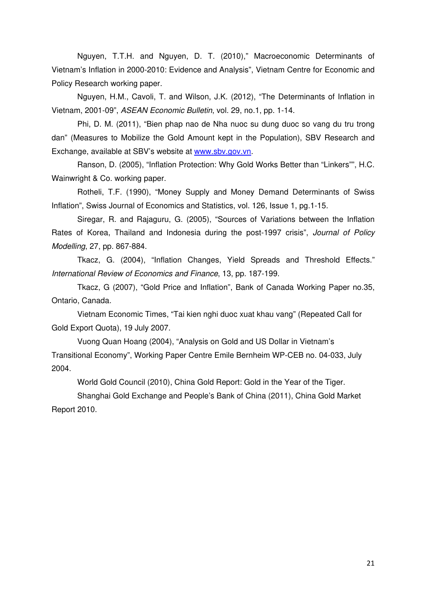Nguyen, T.T.H. and Nguyen, D. T. (2010)," Macroeconomic Determinants of Vietnam's Inflation in 2000-2010: Evidence and Analysis", Vietnam Centre for Economic and Policy Research working paper.

Nguyen, H.M., Cavoli, T. and Wilson, J.K. (2012), "The Determinants of Inflation in Vietnam, 2001-09", ASEAN Economic Bulletin, vol. 29, no.1, pp. 1-14.

Phi, D. M. (2011), "Bien phap nao de Nha nuoc su dung duoc so vang du tru trong dan" (Measures to Mobilize the Gold Amount kept in the Population), SBV Research and Exchange, available at SBV's website at www.sbv.gov.vn.

Ranson, D. (2005), "Inflation Protection: Why Gold Works Better than "Linkers"", H.C. Wainwright & Co. working paper.

Rotheli, T.F. (1990), "Money Supply and Money Demand Determinants of Swiss Inflation", Swiss Journal of Economics and Statistics, vol. 126, Issue 1, pg.1-15.

Siregar, R. and Rajaguru, G. (2005), "Sources of Variations between the Inflation Rates of Korea, Thailand and Indonesia during the post-1997 crisis", *Journal of Policy* Modelling, 27, pp. 867-884.

Tkacz, G. (2004), "Inflation Changes, Yield Spreads and Threshold Effects." International Review of Economics and Finance, 13, pp. 187-199.

Tkacz, G (2007), "Gold Price and Inflation", Bank of Canada Working Paper no.35, Ontario, Canada.

Vietnam Economic Times, "Tai kien nghi duoc xuat khau vang" (Repeated Call for Gold Export Quota), 19 July 2007.

Vuong Quan Hoang (2004), "Analysis on Gold and US Dollar in Vietnam's Transitional Economy", Working Paper Centre Emile Bernheim WP-CEB no. 04-033, July 2004.

World Gold Council (2010), China Gold Report: Gold in the Year of the Tiger.

Shanghai Gold Exchange and People's Bank of China (2011), China Gold Market Report 2010.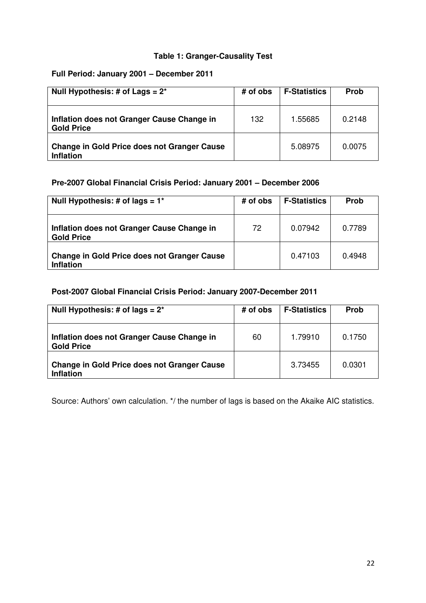## **Table 1: Granger-Causality Test**

## **Full Period: January 2001 – December 2011**

| Null Hypothesis: # of Lags = $2^*$                                     | # of obs | <b>F-Statistics</b> | <b>Prob</b> |
|------------------------------------------------------------------------|----------|---------------------|-------------|
| Inflation does not Granger Cause Change in<br><b>Gold Price</b>        | 132      | 1.55685             | 0.2148      |
| <b>Change in Gold Price does not Granger Cause</b><br><b>Inflation</b> |          | 5.08975             | 0.0075      |

## **Pre-2007 Global Financial Crisis Period: January 2001 – December 2006**

| Null Hypothesis: # of lags = $1^*$                                     | # of obs | <b>F-Statistics</b> | <b>Prob</b> |
|------------------------------------------------------------------------|----------|---------------------|-------------|
| Inflation does not Granger Cause Change in<br><b>Gold Price</b>        | 72       | 0.07942             | 0.7789      |
| <b>Change in Gold Price does not Granger Cause</b><br><b>Inflation</b> |          | 0.47103             | 0.4948      |

## **Post-2007 Global Financial Crisis Period: January 2007-December 2011**

| Null Hypothesis: # of lags = $2^*$                                     | # of obs | <b>F-Statistics</b> | <b>Prob</b> |
|------------------------------------------------------------------------|----------|---------------------|-------------|
| Inflation does not Granger Cause Change in<br><b>Gold Price</b>        | 60       | 1.79910             | 0.1750      |
| <b>Change in Gold Price does not Granger Cause</b><br><b>Inflation</b> |          | 3.73455             | 0.0301      |

Source: Authors' own calculation. \*/ the number of lags is based on the Akaike AIC statistics.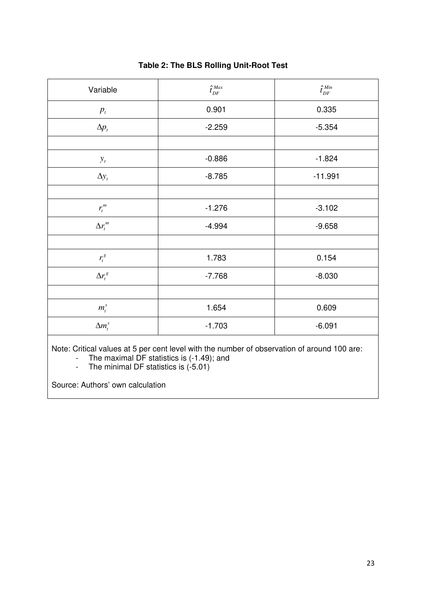| Variable           | $\hat{t}_{\it DF}^{\it Max}$ | $\hat{t}_{\it DF}^{\it Min}$ |
|--------------------|------------------------------|------------------------------|
| $p_{t}$            | 0.901                        | 0.335                        |
| $\Delta p_t$       | $-2.259$                     | $-5.354$                     |
|                    |                              |                              |
| $y_t$              | $-0.886$                     | $-1.824$                     |
| $\Delta y_t$       | $-8.785$                     | $-11.991$                    |
|                    |                              |                              |
| $r_t^m$            | $-1.276$                     | $-3.102$                     |
| $\Delta r_t^m$     | $-4.994$                     | $-9.658$                     |
|                    |                              |                              |
| $r_t^g$            | 1.783                        | 0.154                        |
| $\Delta r_t^{\,g}$ | $-7.768$                     | $-8.030$                     |
|                    |                              |                              |
| $m_t^s$            | 1.654                        | 0.609                        |
| $\Delta m_t^s$     | $-1.703$                     | $-6.091$                     |

## **Table 2: The BLS Rolling Unit-Root Test**

Note: Critical values at 5 per cent level with the number of observation of around 100 are:

- The maximal DF statistics is (-1.49); and

- The minimal DF statistics is (-5.01)

Source: Authors' own calculation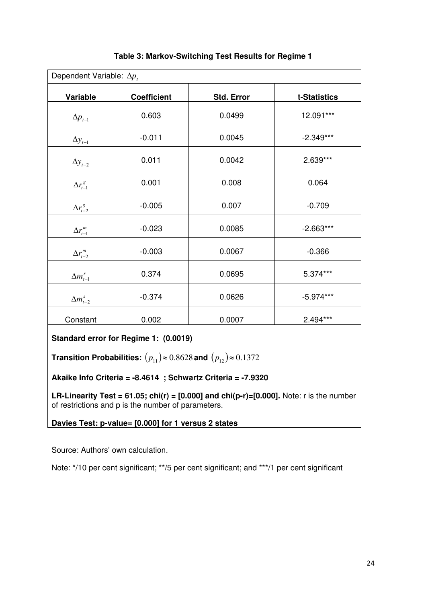| Dependent Variable: $\Delta p_t$ |                    |                   |              |
|----------------------------------|--------------------|-------------------|--------------|
| Variable                         | <b>Coefficient</b> | <b>Std. Error</b> | t-Statistics |
| $\Delta p_{t-1}$                 | 0.603              | 0.0499            | 12.091***    |
| $\Delta y_{t-1}$                 | $-0.011$           | 0.0045            | $-2.349***$  |
| $\Delta y_{t-2}$                 | 0.011              | 0.0042            | 2.639***     |
| $\Delta r_{t-1}^g$               | 0.001              | 0.008             | 0.064        |
| $\Delta r_{t-2}^g$               | $-0.005$           | 0.007             | $-0.709$     |
| $\Delta r^m_{t-1}$               | $-0.023$           | 0.0085            | $-2.663***$  |
| $\Delta r_{t-2}^m$               | $-0.003$           | 0.0067            | $-0.366$     |
| $\Delta m_{t-1}^s$               | 0.374              | 0.0695            | 5.374***     |
| $\Delta m_{t-2}^s$               | $-0.374$           | 0.0626            | $-5.974***$  |
| Constant                         | 0.002              | 0.0007            | $2.494***$   |

## **Table 3: Markov-Switching Test Results for Regime 1**

**Standard error for Regime 1: (0.0019)** 

**Transition Probabilities:**  $(p_{11}) \approx 0.8628$  and  $(p_{12}) \approx 0.1372$ 

## **Akaike Info Criteria = -8.4614 ; Schwartz Criteria = -7.9320**

**LR-Linearity Test = 61.05; chi(r) = [0.000] and chi(p-r)=[0.000].** Note: r is the number of restrictions and p is the number of parameters.

**Davies Test: p-value= [0.000] for 1 versus 2 states** 

Source: Authors' own calculation.

Note: \*/10 per cent significant; \*\*/5 per cent significant; and \*\*\*/1 per cent significant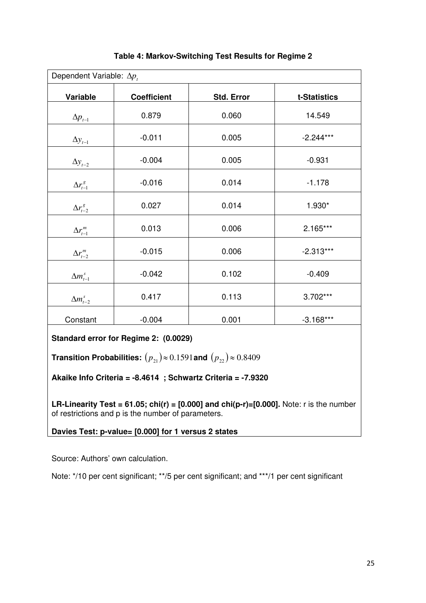| Dependent Variable: $\Delta p_t$                |                    |                   |              |
|-------------------------------------------------|--------------------|-------------------|--------------|
| Variable                                        | <b>Coefficient</b> | <b>Std. Error</b> | t-Statistics |
| $\Delta p_{t-1}$                                | 0.879              | 0.060             | 14.549       |
| $\Delta y_{t-1}$                                | $-0.011$           | 0.005             | $-2.244***$  |
| $\Delta y_{t-2}$                                | $-0.004$           | 0.005             | $-0.931$     |
| $\Delta r_{t-1}^g$                              | $-0.016$           | 0.014             | $-1.178$     |
| $\Delta r_{t-2}^g$                              | 0.027              | 0.014             | 1.930*       |
| $\Delta r^{\textit{m}}_{\textit{t}-\textit{l}}$ | 0.013              | 0.006             | $2.165***$   |
| $\Delta r_{t-2}^m$                              | $-0.015$           | 0.006             | $-2.313***$  |
| $\Delta m_{t-1}^s$                              | $-0.042$           | 0.102             | $-0.409$     |
| $\Delta m_{t-2}^s$                              | 0.417              | 0.113             | $3.702***$   |
| Constant                                        | $-0.004$           | 0.001             | $-3.168***$  |

**Table 4: Markov-Switching Test Results for Regime 2** 

**Standard error for Regime 2: (0.0029)** 

**Transition Probabilities:**  $(p_{21}) \approx 0.1591$  and  $(p_{22}) \approx 0.8409$ 

**Akaike Info Criteria = -8.4614 ; Schwartz Criteria = -7.9320** 

**LR-Linearity Test = 61.05; chi(r) =**  $[0.000]$  **and chi(p-r)=** $[0.000]$ **.** Note: r is the number of restrictions and p is the number of parameters.

**Davies Test: p-value= [0.000] for 1 versus 2 states** 

Source: Authors' own calculation.

Note: \*/10 per cent significant; \*\*/5 per cent significant; and \*\*\*/1 per cent significant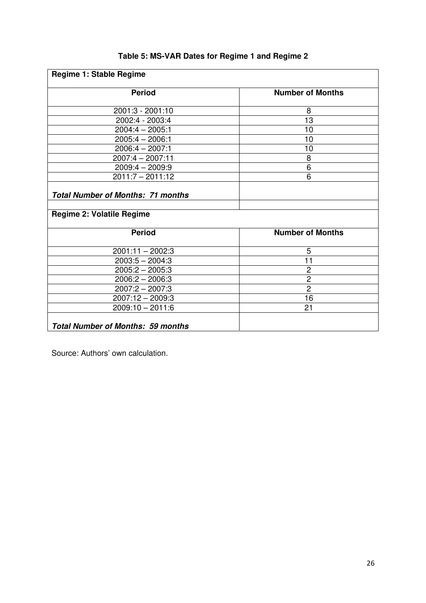| Regime 1: Stable Regime                                                      |                         |  |  |
|------------------------------------------------------------------------------|-------------------------|--|--|
| <b>Period</b>                                                                | <b>Number of Months</b> |  |  |
| $2001:3 - 2001:10$                                                           | 8                       |  |  |
| 2002:4 - 2003:4                                                              | 13                      |  |  |
| $2004:4 - 2005:1$                                                            | 10                      |  |  |
| $2005:4 - 2006:1$                                                            | 10                      |  |  |
| $2006:4 - 2007:1$                                                            | 10                      |  |  |
| 2007:4 - 2007:11                                                             | 8                       |  |  |
| $2009:4 - 2009:9$                                                            | $\overline{6}$          |  |  |
| $2011:7 - 2011:12$                                                           | 6                       |  |  |
| <b>Total Number of Months: 71 months</b><br><b>Regime 2: Volatile Regime</b> |                         |  |  |
| <b>Period</b>                                                                | <b>Number of Months</b> |  |  |
| $2001:11 - 2002:3$                                                           | 5                       |  |  |
| $2003:5 - 2004:3$                                                            | 11                      |  |  |
| $2005:2 - 2005:3$                                                            | $\overline{c}$          |  |  |
| $2006:2 - 2006:3$                                                            | $\overline{2}$          |  |  |
| $2007:2 - 2007:3$                                                            | $\overline{2}$          |  |  |
| 2007:12 - 2009:3                                                             | 16                      |  |  |
| $2009:10 - 2011:6$                                                           | 21                      |  |  |
| <b>Total Number of Months: 59 months</b>                                     |                         |  |  |

## **Table 5: MS-VAR Dates for Regime 1 and Regime 2**

Source: Authors' own calculation.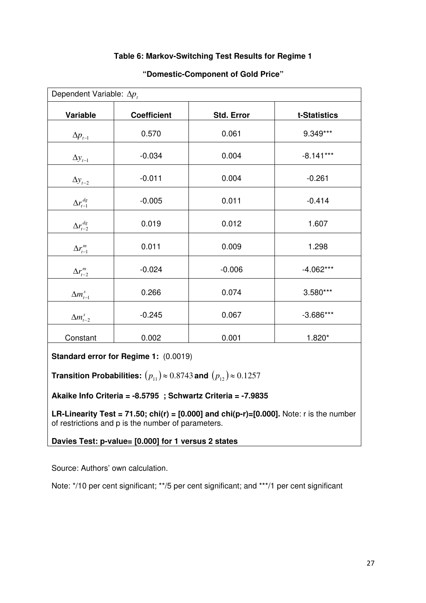## **Table 6: Markov-Switching Test Results for Regime 1**

| Dependent Variable: $\Delta p_t$ |                    |                   |              |
|----------------------------------|--------------------|-------------------|--------------|
| Variable                         | <b>Coefficient</b> | <b>Std. Error</b> | t-Statistics |
| $\Delta p_{t-1}$                 | 0.570              | 0.061             | 9.349***     |
| $\Delta y_{t-1}$                 | $-0.034$           | 0.004             | $-8.141***$  |
| $\Delta y_{t-2}$                 | $-0.011$           | 0.004             | $-0.261$     |
| $\Delta r^{dg}_{t-1}$            | $-0.005$           | 0.011             | $-0.414$     |
| $\Delta r_{t-2}^{dg}$            | 0.019              | 0.012             | 1.607        |
| $\Delta r^m_{t-1}$               | 0.011              | 0.009             | 1.298        |
| $\Delta r_{t-2}^m$               | $-0.024$           | $-0.006$          | $-4.062***$  |
| $\Delta m_{t-1}^s$               | 0.266              | 0.074             | 3.580***     |
| $\Delta m_{t-2}^s$               | $-0.245$           | 0.067             | $-3.686***$  |
| Constant                         | 0.002              | 0.001             | $1.820*$     |

## **"Domestic-Component of Gold Price"**

**Standard error for Regime 1:** (0.0019)

**Transition Probabilities:**  $(p_{11}) \approx 0.8743$  and  $(p_{12}) \approx 0.1257$ 

**Akaike Info Criteria = -8.5795 ; Schwartz Criteria = -7.9835** 

**LR-Linearity Test = 71.50; chi(r) = [0.000] and chi(p-r)=[0.000].** Note: r is the number of restrictions and p is the number of parameters.

**Davies Test: p-value= [0.000] for 1 versus 2 states** 

Source: Authors' own calculation.

Note: \*/10 per cent significant; \*\*/5 per cent significant; and \*\*\*/1 per cent significant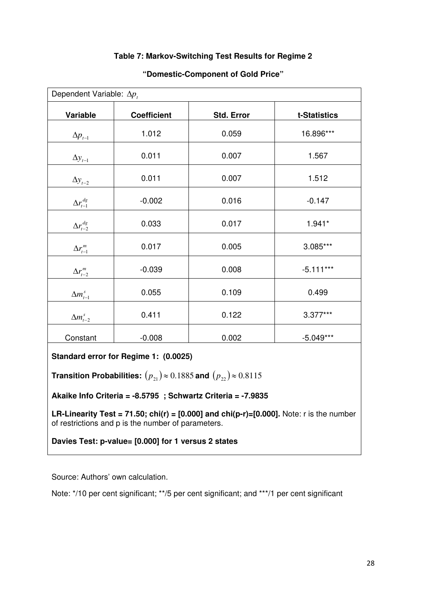## **Table 7: Markov-Switching Test Results for Regime 2**

| Dependent Variable: $\Delta p_t$ |                    |            |              |
|----------------------------------|--------------------|------------|--------------|
| Variable                         | <b>Coefficient</b> | Std. Error | t-Statistics |
| $\Delta p_{t-1}$                 | 1.012              | 0.059      | 16.896***    |
| $\Delta y_{t-1}$                 | 0.011              | 0.007      | 1.567        |
| $\Delta y$ <sub>t-2</sub>        | 0.011              | 0.007      | 1.512        |
| $\Delta r^{dg}_{t-1}$            | $-0.002$           | 0.016      | $-0.147$     |
| $\Delta r_{t-2}^{dg}$            | 0.033              | 0.017      | $1.941*$     |
| $\Delta r_{t-1}^m$               | 0.017              | 0.005      | 3.085***     |
| $\Delta r_{t-2}^m$               | $-0.039$           | 0.008      | $-5.111***$  |
| $\Delta m_{t-1}^s$               | 0.055              | 0.109      | 0.499        |
| $\Delta m_{t-2}^s$               | 0.411              | 0.122      | $3.377***$   |
| Constant                         | $-0.008$           | 0.002      | $-5.049***$  |

## **"Domestic-Component of Gold Price"**

**Standard error for Regime 1: (0.0025)** 

**Transition Probabilities:**  $(p_{21}) \approx 0.1885$  and  $(p_{22}) \approx 0.8115$ 

**Akaike Info Criteria = -8.5795 ; Schwartz Criteria = -7.9835** 

**LR-Linearity Test = 71.50; chi(r) = [0.000] and chi(p-r)=[0.000].** Note: r is the number of restrictions and p is the number of parameters.

**Davies Test: p-value= [0.000] for 1 versus 2 states**

Source: Authors' own calculation.

Note: \*/10 per cent significant; \*\*/5 per cent significant; and \*\*\*/1 per cent significant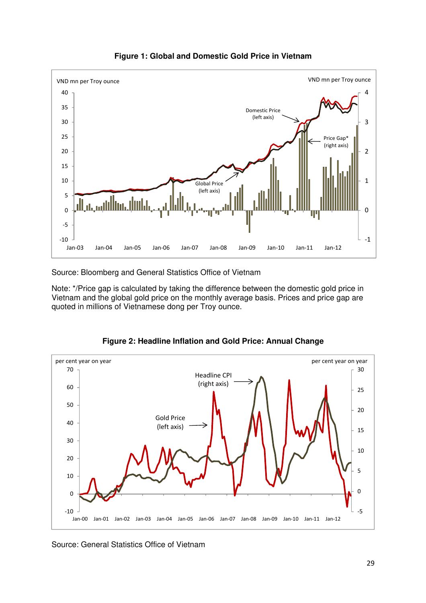

**Figure 1: Global and Domestic Gold Price in Vietnam** 

Source: Bloomberg and General Statistics Office of Vietnam

Note: \*/Price gap is calculated by taking the difference between the domestic gold price in Vietnam and the global gold price on the monthly average basis. Prices and price gap are quoted in millions of Vietnamese dong per Troy ounce.

![](_page_30_Figure_4.jpeg)

**Figure 2: Headline Inflation and Gold Price: Annual Change** 

Source: General Statistics Office of Vietnam